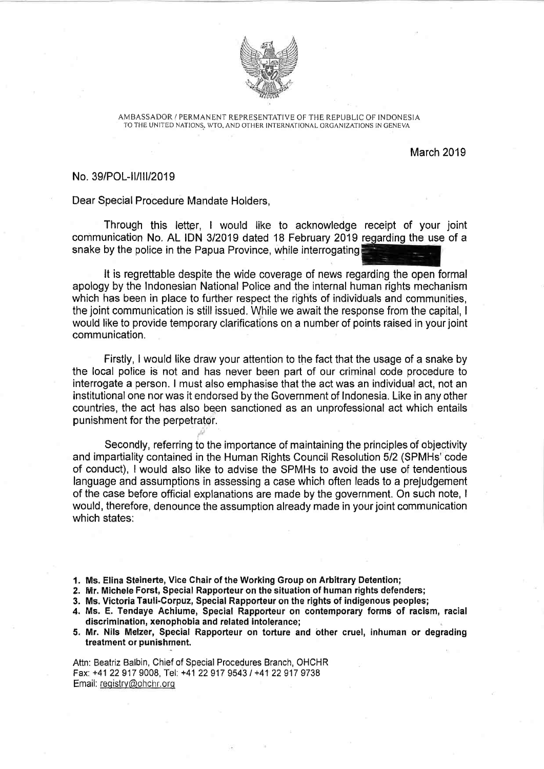

AMBASSADOR / PERMANENT REPRESENTATIVE OF THE REPUBLIC OF INDONESIA TO THE UNITED NATIONS, WTO, AND OTHER INTERNATIONAL ORGANIZATIONS IN GENEVAL

March 2019

## No. 39/POL-11/111/2019

Dear Special Procedure Mandate Holders,

Through this letter, I would like to acknowledge receipt of your joint communication No. AL IDN 3/2019 dated 18 February 2019 regarding the use of a snake by the police in the Papua Province, while interrogating

It is regrettable despite the wide coverage of news regarding the open formal apology by the Indonesian National Police and the internal human rights mechanism which has been in place to further respect the rights of individuals and communities, the joint communication is still issued. While we await the response from the capital, I would like to provide temporary clarifications on a number of points raised in your joint communication.

Firstly, I would like draw your attention to the fact that the usage of a snake by the local police is not and has never been part of our criminal code procedure to interrogate a person. I must also emphasise that the act was an individual act, not an institutional one nor was it endorsed by the Government of Indonesia. Like in any other countries, the act has also been sanctioned as an unprofessional act which entails punishment for the perpetrator.

Secondly, referring to the importance of maintaining the principles of objectivity and impartiality contained in the Human Rights Council Resolution 5/2 (SPMHs' code of conduct), I would also like to advise the SPMHs to avoid the use of tendentious language and assumptions in assessing a case which often leads to a prejudgement of the case before official explanations are made by the government. On such note, I would, therefore, denounce the assumption already made in your joint communication which states:

1. Ms. Elina Steinerte, Vice Chair of the Working Group on Arbitrary Detention;

2. Mr. Michele Forst, Special Rapporteur on the situation of human rights defenders;

3. Ms. Victoria Tauli-Corpuz, Special Rapporteur on the rights of indigenous peoples;

4. Ms. E. Tendaye Achiume, Special Rapporteur on contemporary forms of racism, racial discrimination, xenophobia and related intolerance;

5. Mr. Nils Melzer, Special Rapporteur on torture and other cruel, inhuman or degrading treatment or punishment.

Attn: Beatriz Balbin, Chief of Special Procedures Branch, OHCHR Fax: +41 22 917 9008, Tel: +41 22 917 9543 / +41 22 917 9738 Email: registry@ohchr.orq

..i: '